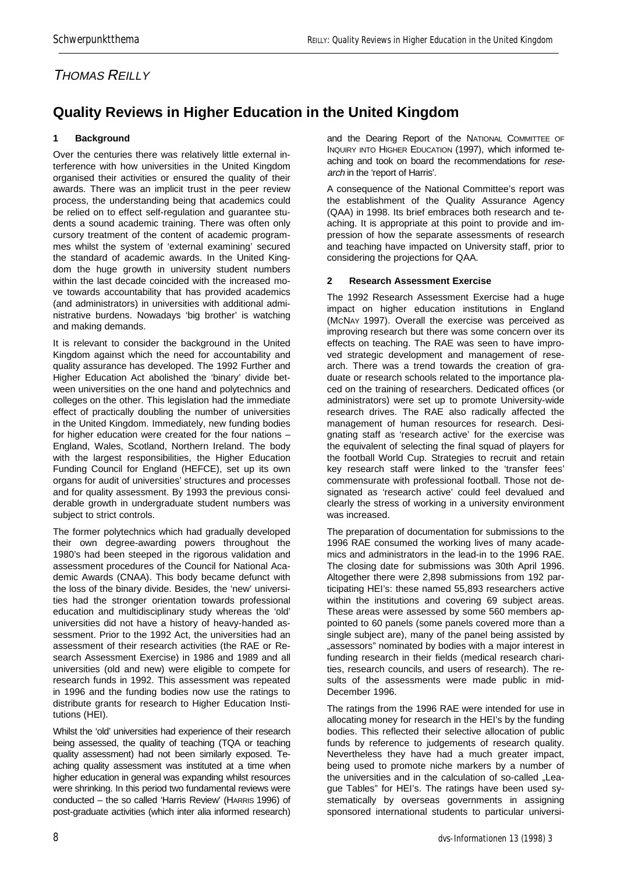## THOMAS REILLY

# **[Quality Reviews in Higher Education in the United Kingdom](http://cosmic.rrz.uni-hamburg.de/webcat/sportwiss/dvs/dvs_info/vol13n3/reilly.pdf)**

### **1 Background**

Over the centuries there was relatively little external interference with how universities in the United Kingdom organised their activities or ensured the quality of their awards. There was an implicit trust in the peer review process, the understanding being that academics could be relied on to effect self-regulation and guarantee students a sound academic training. There was often only cursory treatment of the content of academic programmes whilst the system of 'external examining' secured the standard of academic awards. In the United Kingdom the huge growth in university student numbers within the last decade coincided with the increased move towards accountability that has provided academics (and administrators) in universities with additional administrative burdens. Nowadays 'big brother' is watching and making demands.

It is relevant to consider the background in the United Kingdom against which the need for accountability and quality assurance has developed. The 1992 Further and Higher Education Act abolished the 'binary' divide between universities on the one hand and polytechnics and colleges on the other. This legislation had the immediate effect of practically doubling the number of universities in the United Kingdom. Immediately, new funding bodies for higher education were created for the four nations – England, Wales, Scotland, Northern Ireland. The body with the largest responsibilities, the Higher Education Funding Council for England (HEFCE), set up its own organs for audit of universities' structures and processes and for quality assessment. By 1993 the previous considerable growth in undergraduate student numbers was subject to strict controls.

The former polytechnics which had gradually developed their own degree-awarding powers throughout the 1980's had been steeped in the rigorous validation and assessment procedures of the Council for National Academic Awards (CNAA). This body became defunct with the loss of the binary divide. Besides, the 'new' universities had the stronger orientation towards professional education and multidisciplinary study whereas the 'old' universities did not have a history of heavy-handed assessment. Prior to the 1992 Act, the universities had an assessment of their research activities (the RAE or Research Assessment Exercise) in 1986 and 1989 and all universities (old and new) were eligible to compete for research funds in 1992. This assessment was repeated in 1996 and the funding bodies now use the ratings to distribute grants for research to Higher Education Institutions (HEI).

Whilst the 'old' universities had experience of their research being assessed, the quality of teaching (TQA or teaching quality assessment) had not been similarly exposed. Teaching quality assessment was instituted at a time when higher education in general was expanding whilst resources were shrinking. In this period two fundamental reviews were conducted – the so called 'Harris Review' (HARRIS 1996) of post-graduate activities (which inter alia informed research) and the Dearing Report of the NATIONAL COMMITTEE OF INQUIRY INTO HIGHER EDUCATION (1997), which informed teaching and took on board the recommendations for research in the 'report of Harris'.

A consequence of the National Committee's report was the establishment of the Quality Assurance Agency (QAA) in 1998. Its brief embraces both research and teaching. It is appropriate at this point to provide and impression of how the separate assessments of research and teaching have impacted on University staff, prior to considering the projections for QAA.

### **2 Research Assessment Exercise**

The 1992 Research Assessment Exercise had a huge impact on higher education institutions in England (MCNAY 1997). Overall the exercise was perceived as improving research but there was some concern over its effects on teaching. The RAE was seen to have improved strategic development and management of research. There was a trend towards the creation of graduate or research schools related to the importance placed on the training of researchers. Dedicated offices (or administrators) were set up to promote University-wide research drives. The RAE also radically affected the management of human resources for research. Designating staff as 'research active' for the exercise was the equivalent of selecting the final squad of players for the football World Cup. Strategies to recruit and retain key research staff were linked to the 'transfer fees' commensurate with professional football. Those not designated as 'research active' could feel devalued and clearly the stress of working in a university environment was increased.

The preparation of documentation for submissions to the 1996 RAE consumed the working lives of many academics and administrators in the lead-in to the 1996 RAE. The closing date for submissions was 30th April 1996. Altogether there were 2,898 submissions from 192 participating HEI's: these named 55,893 researchers active within the institutions and covering 69 subject areas. These areas were assessed by some 560 members appointed to 60 panels (some panels covered more than a single subject are), many of the panel being assisted by "assessors" nominated by bodies with a major interest in funding research in their fields (medical research charities, research councils, and users of research). The results of the assessments were made public in mid-December 1996.

The ratings from the 1996 RAE were intended for use in allocating money for research in the HEI's by the funding bodies. This reflected their selective allocation of public funds by reference to judgements of research quality. Nevertheless they have had a much greater impact, being used to promote niche markers by a number of the universities and in the calculation of so-called "League Tables" for HEI's. The ratings have been used systematically by overseas governments in assigning sponsored international students to particular universi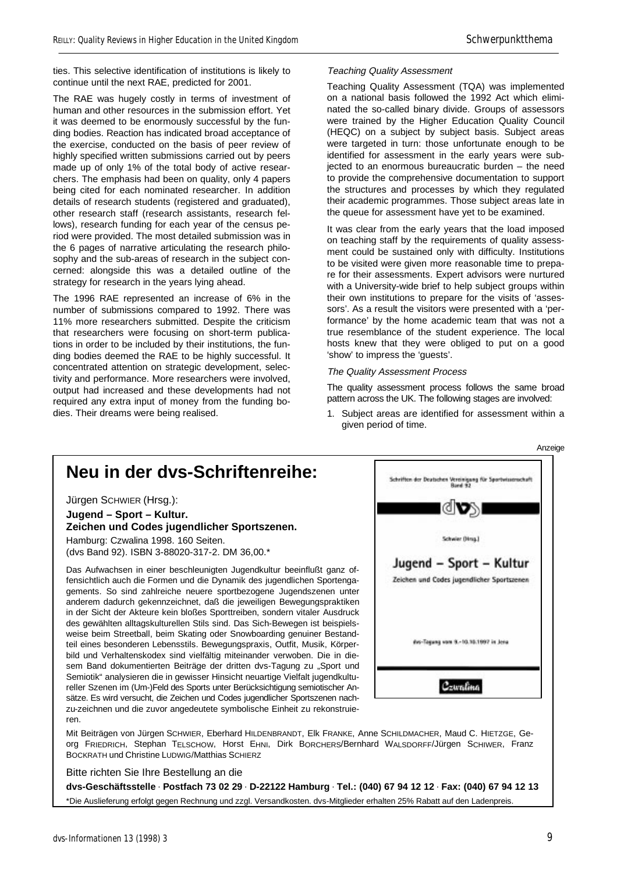ties. This selective identification of institutions is likely to continue until the next RAE, predicted for 2001.

The RAE was hugely costly in terms of investment of human and other resources in the submission effort. Yet it was deemed to be enormously successful by the funding bodies. Reaction has indicated broad acceptance of the exercise, conducted on the basis of peer review of highly specified written submissions carried out by peers made up of only 1% of the total body of active researchers. The emphasis had been on quality, only 4 papers being cited for each nominated researcher. In addition details of research students (registered and graduated), other research staff (research assistants, research fellows), research funding for each year of the census period were provided. The most detailed submission was in the 6 pages of narrative articulating the research philosophy and the sub-areas of research in the subject concerned: alongside this was a detailed outline of the strategy for research in the years lying ahead.

The 1996 RAE represented an increase of 6% in the number of submissions compared to 1992. There was 11% more researchers submitted. Despite the criticism that researchers were focusing on short-term publications in order to be included by their institutions, the funding bodies deemed the RAE to be highly successful. It concentrated attention on strategic development, selectivity and performance. More researchers were involved, output had increased and these developments had not required any extra input of money from the funding bodies. Their dreams were being realised.

### Teaching Quality Assessment

Teaching Quality Assessment (TQA) was implemented on a national basis followed the 1992 Act which eliminated the so-called binary divide. Groups of assessors were trained by the Higher Education Quality Council (HEQC) on a subject by subject basis. Subject areas were targeted in turn: those unfortunate enough to be identified for assessment in the early years were subjected to an enormous bureaucratic burden – the need to provide the comprehensive documentation to support the structures and processes by which they regulated their academic programmes. Those subject areas late in the queue for assessment have yet to be examined.

It was clear from the early years that the load imposed on teaching staff by the requirements of quality assessment could be sustained only with difficulty. Institutions to be visited were given more reasonable time to prepare for their assessments. Expert advisors were nurtured with a University-wide brief to help subject groups within their own institutions to prepare for the visits of 'assessors'. As a result the visitors were presented with a 'performance' by the home academic team that was not a true resemblance of the student experience. The local hosts knew that they were obliged to put on a good 'show' to impress the 'guests'.

#### The Quality Assessment Process

The quality assessment process follows the same broad pattern across the UK. The following stages are involved:

1. Subject areas are identified for assessment within a given period of time.





Mit Beiträgen von Jürgen SCHWIER, Eberhard HILDENBRANDT, Elk FRANKE, Anne SCHILDMACHER, Maud C. HIETZGE, Georg FRIEDRICH, Stephan TELSCHOW, Horst EHNI, Dirk BORCHERS/Bernhard WALSDORFF/Jürgen SCHIWER, Franz BOCKRATH und Christine LUDWIG/Matthias SCHIERZ

Bitte richten Sie Ihre Bestellung an die

**dvs-Geschäftsstelle** • **Postfach 73 02 29** • **D-22122 Hamburg** • **Tel.: (040) 67 94 12 12** • **Fax: (040) 67 94 12 13** \*Die Auslieferung erfolgt gegen Rechnung und zzgl. Versandkosten. dvs-Mitglieder erhalten 25% Rabatt auf den Ladenpreis.